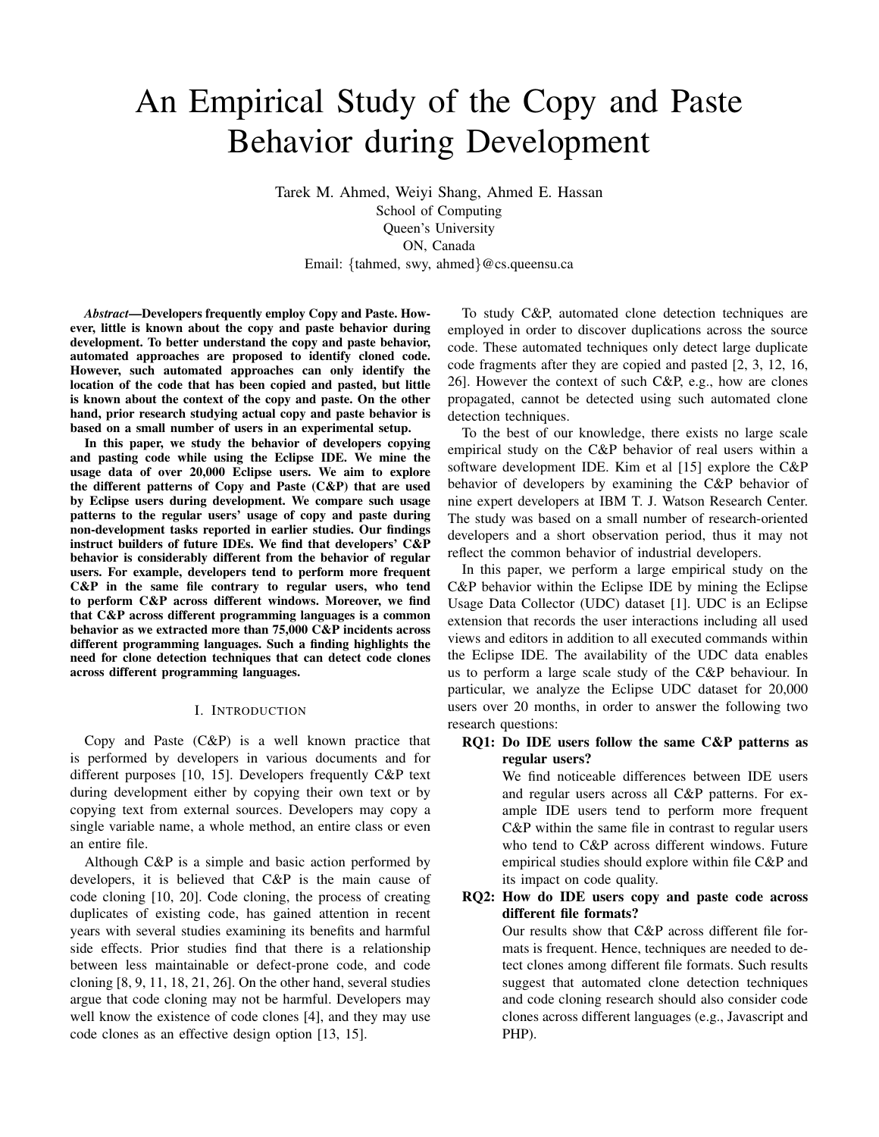# An Empirical Study of the Copy and Paste Behavior during Development

Tarek M. Ahmed, Weiyi Shang, Ahmed E. Hassan School of Computing Queen's University ON, Canada Email: {tahmed, swy, ahmed}@cs.queensu.ca

*Abstract*—Developers frequently employ Copy and Paste. However, little is known about the copy and paste behavior during development. To better understand the copy and paste behavior, automated approaches are proposed to identify cloned code. However, such automated approaches can only identify the location of the code that has been copied and pasted, but little is known about the context of the copy and paste. On the other hand, prior research studying actual copy and paste behavior is based on a small number of users in an experimental setup.

In this paper, we study the behavior of developers copying and pasting code while using the Eclipse IDE. We mine the usage data of over 20,000 Eclipse users. We aim to explore the different patterns of Copy and Paste  $(C\&P)$  that are used by Eclipse users during development. We compare such usage patterns to the regular users' usage of copy and paste during non-development tasks reported in earlier studies. Our findings instruct builders of future IDEs. We find that developers' C&P behavior is considerably different from the behavior of regular users. For example, developers tend to perform more frequent C&P in the same file contrary to regular users, who tend to perform C&P across different windows. Moreover, we find that C&P across different programming languages is a common behavior as we extracted more than 75,000 C&P incidents across different programming languages. Such a finding highlights the need for clone detection techniques that can detect code clones across different programming languages.

## I. INTRODUCTION

Copy and Paste (C&P) is a well known practice that is performed by developers in various documents and for different purposes [10, 15]. Developers frequently C&P text during development either by copying their own text or by copying text from external sources. Developers may copy a single variable name, a whole method, an entire class or even an entire file.

Although C&P is a simple and basic action performed by developers, it is believed that C&P is the main cause of code cloning [10, 20]. Code cloning, the process of creating duplicates of existing code, has gained attention in recent years with several studies examining its benefits and harmful side effects. Prior studies find that there is a relationship between less maintainable or defect-prone code, and code cloning [8, 9, 11, 18, 21, 26]. On the other hand, several studies argue that code cloning may not be harmful. Developers may well know the existence of code clones [4], and they may use code clones as an effective design option [13, 15].

To study C&P, automated clone detection techniques are employed in order to discover duplications across the source code. These automated techniques only detect large duplicate code fragments after they are copied and pasted [2, 3, 12, 16, 26]. However the context of such C&P, e.g., how are clones propagated, cannot be detected using such automated clone detection techniques.

To the best of our knowledge, there exists no large scale empirical study on the C&P behavior of real users within a software development IDE. Kim et al [15] explore the C&P behavior of developers by examining the C&P behavior of nine expert developers at IBM T. J. Watson Research Center. The study was based on a small number of research-oriented developers and a short observation period, thus it may not reflect the common behavior of industrial developers.

In this paper, we perform a large empirical study on the C&P behavior within the Eclipse IDE by mining the Eclipse Usage Data Collector (UDC) dataset [1]. UDC is an Eclipse extension that records the user interactions including all used views and editors in addition to all executed commands within the Eclipse IDE. The availability of the UDC data enables us to perform a large scale study of the C&P behaviour. In particular, we analyze the Eclipse UDC dataset for 20,000 users over 20 months, in order to answer the following two research questions:

# RQ1: Do IDE users follow the same C&P patterns as regular users?

We find noticeable differences between IDE users and regular users across all C&P patterns. For example IDE users tend to perform more frequent C&P within the same file in contrast to regular users who tend to C&P across different windows. Future empirical studies should explore within file C&P and its impact on code quality.

# RQ2: How do IDE users copy and paste code across different file formats?

Our results show that C&P across different file formats is frequent. Hence, techniques are needed to detect clones among different file formats. Such results suggest that automated clone detection techniques and code cloning research should also consider code clones across different languages (e.g., Javascript and PHP).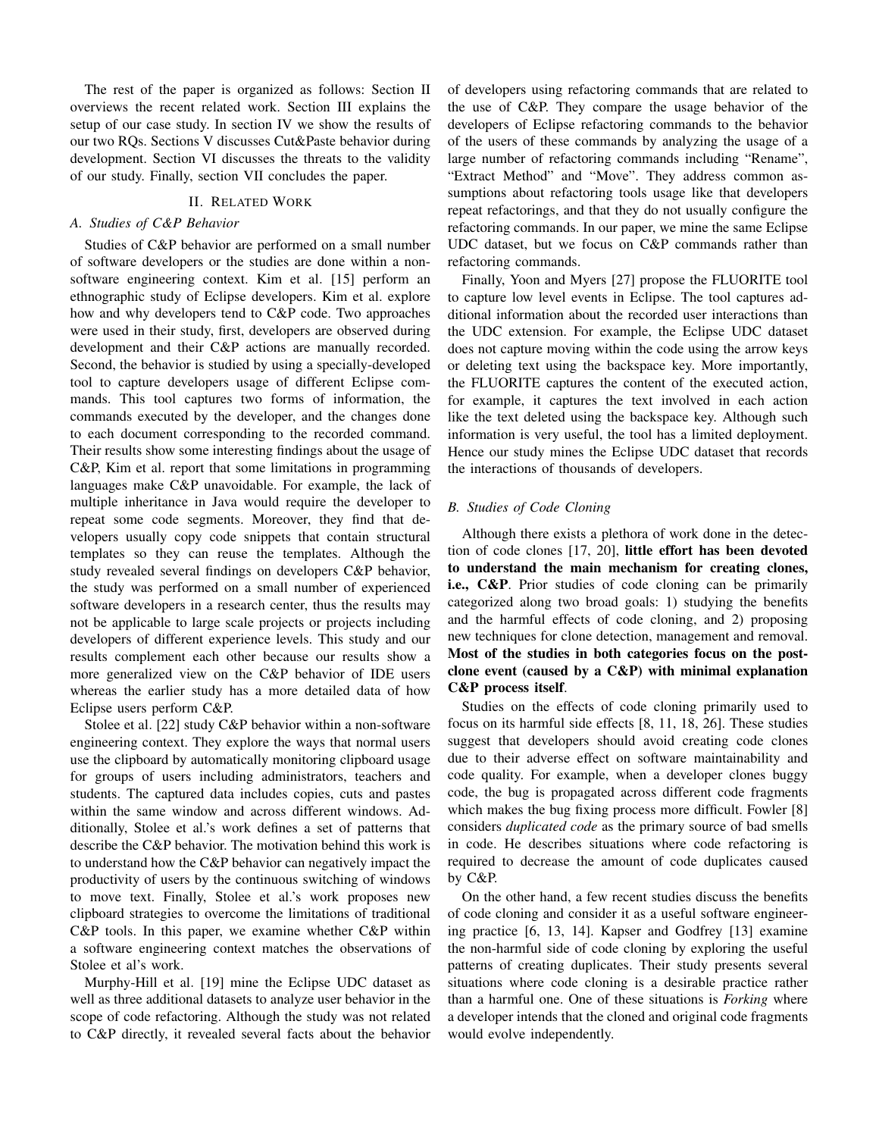The rest of the paper is organized as follows: Section II overviews the recent related work. Section III explains the setup of our case study. In section IV we show the results of our two RQs. Sections V discusses Cut&Paste behavior during development. Section VI discusses the threats to the validity of our study. Finally, section VII concludes the paper.

## II. RELATED WORK

## *A. Studies of C&P Behavior*

Studies of C&P behavior are performed on a small number of software developers or the studies are done within a nonsoftware engineering context. Kim et al. [15] perform an ethnographic study of Eclipse developers. Kim et al. explore how and why developers tend to C&P code. Two approaches were used in their study, first, developers are observed during development and their C&P actions are manually recorded. Second, the behavior is studied by using a specially-developed tool to capture developers usage of different Eclipse commands. This tool captures two forms of information, the commands executed by the developer, and the changes done to each document corresponding to the recorded command. Their results show some interesting findings about the usage of C&P, Kim et al. report that some limitations in programming languages make C&P unavoidable. For example, the lack of multiple inheritance in Java would require the developer to repeat some code segments. Moreover, they find that developers usually copy code snippets that contain structural templates so they can reuse the templates. Although the study revealed several findings on developers C&P behavior, the study was performed on a small number of experienced software developers in a research center, thus the results may not be applicable to large scale projects or projects including developers of different experience levels. This study and our results complement each other because our results show a more generalized view on the C&P behavior of IDE users whereas the earlier study has a more detailed data of how Eclipse users perform C&P.

Stolee et al. [22] study C&P behavior within a non-software engineering context. They explore the ways that normal users use the clipboard by automatically monitoring clipboard usage for groups of users including administrators, teachers and students. The captured data includes copies, cuts and pastes within the same window and across different windows. Additionally, Stolee et al.'s work defines a set of patterns that describe the C&P behavior. The motivation behind this work is to understand how the C&P behavior can negatively impact the productivity of users by the continuous switching of windows to move text. Finally, Stolee et al.'s work proposes new clipboard strategies to overcome the limitations of traditional C&P tools. In this paper, we examine whether C&P within a software engineering context matches the observations of Stolee et al's work.

Murphy-Hill et al. [19] mine the Eclipse UDC dataset as well as three additional datasets to analyze user behavior in the scope of code refactoring. Although the study was not related to C&P directly, it revealed several facts about the behavior of developers using refactoring commands that are related to the use of C&P. They compare the usage behavior of the developers of Eclipse refactoring commands to the behavior of the users of these commands by analyzing the usage of a large number of refactoring commands including "Rename", "Extract Method" and "Move". They address common assumptions about refactoring tools usage like that developers repeat refactorings, and that they do not usually configure the refactoring commands. In our paper, we mine the same Eclipse UDC dataset, but we focus on C&P commands rather than refactoring commands.

Finally, Yoon and Myers [27] propose the FLUORITE tool to capture low level events in Eclipse. The tool captures additional information about the recorded user interactions than the UDC extension. For example, the Eclipse UDC dataset does not capture moving within the code using the arrow keys or deleting text using the backspace key. More importantly, the FLUORITE captures the content of the executed action, for example, it captures the text involved in each action like the text deleted using the backspace key. Although such information is very useful, the tool has a limited deployment. Hence our study mines the Eclipse UDC dataset that records the interactions of thousands of developers.

# *B. Studies of Code Cloning*

Although there exists a plethora of work done in the detection of code clones [17, 20], little effort has been devoted to understand the main mechanism for creating clones, i.e., C&P. Prior studies of code cloning can be primarily categorized along two broad goals: 1) studying the benefits and the harmful effects of code cloning, and 2) proposing new techniques for clone detection, management and removal. Most of the studies in both categories focus on the postclone event (caused by a C&P) with minimal explanation C&P process itself.

Studies on the effects of code cloning primarily used to focus on its harmful side effects [8, 11, 18, 26]. These studies suggest that developers should avoid creating code clones due to their adverse effect on software maintainability and code quality. For example, when a developer clones buggy code, the bug is propagated across different code fragments which makes the bug fixing process more difficult. Fowler [8] considers *duplicated code* as the primary source of bad smells in code. He describes situations where code refactoring is required to decrease the amount of code duplicates caused by C&P.

On the other hand, a few recent studies discuss the benefits of code cloning and consider it as a useful software engineering practice [6, 13, 14]. Kapser and Godfrey [13] examine the non-harmful side of code cloning by exploring the useful patterns of creating duplicates. Their study presents several situations where code cloning is a desirable practice rather than a harmful one. One of these situations is *Forking* where a developer intends that the cloned and original code fragments would evolve independently.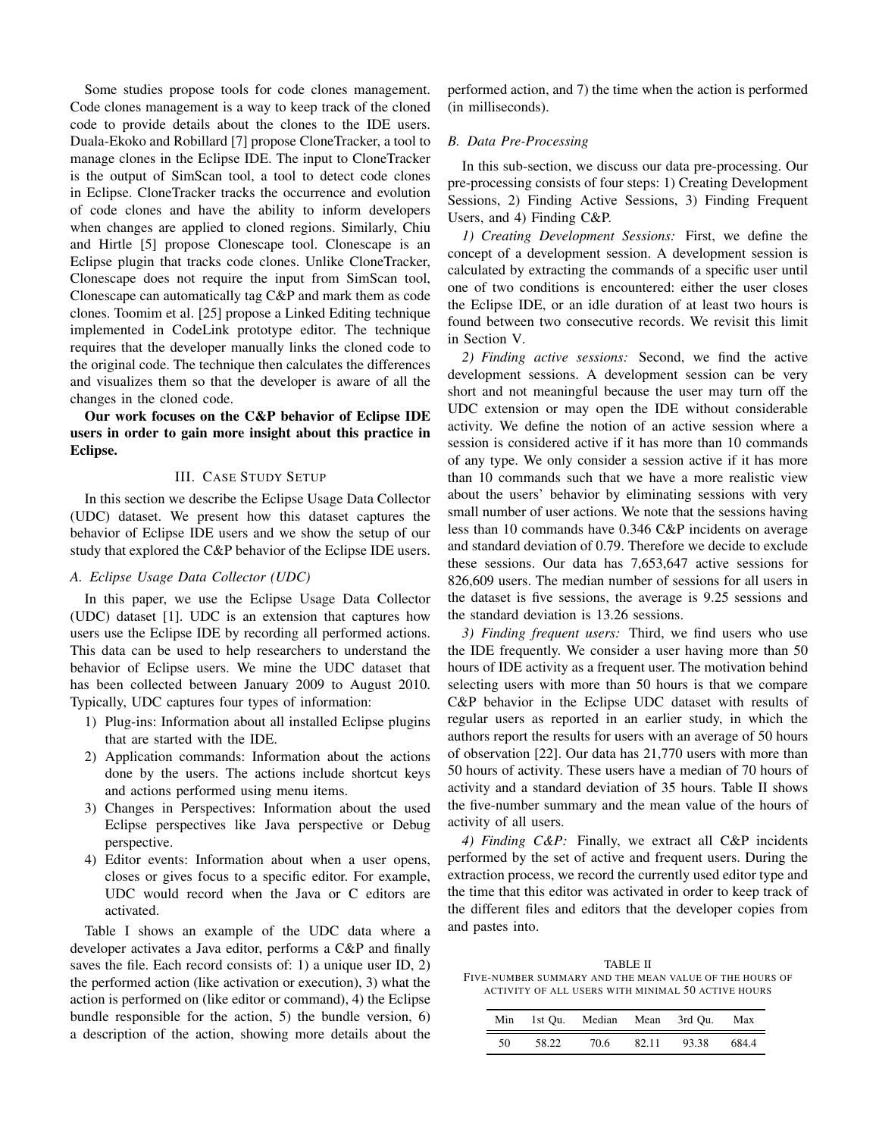Some studies propose tools for code clones management. Code clones management is a way to keep track of the cloned code to provide details about the clones to the IDE users. Duala-Ekoko and Robillard [7] propose CloneTracker, a tool to manage clones in the Eclipse IDE. The input to CloneTracker is the output of SimScan tool, a tool to detect code clones in Eclipse. CloneTracker tracks the occurrence and evolution of code clones and have the ability to inform developers when changes are applied to cloned regions. Similarly, Chiu and Hirtle [5] propose Clonescape tool. Clonescape is an Eclipse plugin that tracks code clones. Unlike CloneTracker, Clonescape does not require the input from SimScan tool, Clonescape can automatically tag C&P and mark them as code clones. Toomim et al. [25] propose a Linked Editing technique implemented in CodeLink prototype editor. The technique requires that the developer manually links the cloned code to the original code. The technique then calculates the differences and visualizes them so that the developer is aware of all the changes in the cloned code.

# Our work focuses on the C&P behavior of Eclipse IDE users in order to gain more insight about this practice in Eclipse.

# III. CASE STUDY SETUP

In this section we describe the Eclipse Usage Data Collector (UDC) dataset. We present how this dataset captures the behavior of Eclipse IDE users and we show the setup of our study that explored the C&P behavior of the Eclipse IDE users.

## *A. Eclipse Usage Data Collector (UDC)*

In this paper, we use the Eclipse Usage Data Collector (UDC) dataset [1]. UDC is an extension that captures how users use the Eclipse IDE by recording all performed actions. This data can be used to help researchers to understand the behavior of Eclipse users. We mine the UDC dataset that has been collected between January 2009 to August 2010. Typically, UDC captures four types of information:

- 1) Plug-ins: Information about all installed Eclipse plugins that are started with the IDE.
- 2) Application commands: Information about the actions done by the users. The actions include shortcut keys and actions performed using menu items.
- 3) Changes in Perspectives: Information about the used Eclipse perspectives like Java perspective or Debug perspective.
- 4) Editor events: Information about when a user opens, closes or gives focus to a specific editor. For example, UDC would record when the Java or C editors are activated.

Table I shows an example of the UDC data where a developer activates a Java editor, performs a C&P and finally saves the file. Each record consists of: 1) a unique user ID, 2) the performed action (like activation or execution), 3) what the action is performed on (like editor or command), 4) the Eclipse bundle responsible for the action, 5) the bundle version, 6) a description of the action, showing more details about the performed action, and 7) the time when the action is performed (in milliseconds).

## *B. Data Pre-Processing*

In this sub-section, we discuss our data pre-processing. Our pre-processing consists of four steps: 1) Creating Development Sessions, 2) Finding Active Sessions, 3) Finding Frequent Users, and 4) Finding C&P.

*1) Creating Development Sessions:* First, we define the concept of a development session. A development session is calculated by extracting the commands of a specific user until one of two conditions is encountered: either the user closes the Eclipse IDE, or an idle duration of at least two hours is found between two consecutive records. We revisit this limit in Section V.

*2) Finding active sessions:* Second, we find the active development sessions. A development session can be very short and not meaningful because the user may turn off the UDC extension or may open the IDE without considerable activity. We define the notion of an active session where a session is considered active if it has more than 10 commands of any type. We only consider a session active if it has more than 10 commands such that we have a more realistic view about the users' behavior by eliminating sessions with very small number of user actions. We note that the sessions having less than 10 commands have 0.346 C&P incidents on average and standard deviation of 0.79. Therefore we decide to exclude these sessions. Our data has 7,653,647 active sessions for 826,609 users. The median number of sessions for all users in the dataset is five sessions, the average is 9.25 sessions and the standard deviation is 13.26 sessions.

*3) Finding frequent users:* Third, we find users who use the IDE frequently. We consider a user having more than 50 hours of IDE activity as a frequent user. The motivation behind selecting users with more than 50 hours is that we compare C&P behavior in the Eclipse UDC dataset with results of regular users as reported in an earlier study, in which the authors report the results for users with an average of 50 hours of observation [22]. Our data has 21,770 users with more than 50 hours of activity. These users have a median of 70 hours of activity and a standard deviation of 35 hours. Table II shows the five-number summary and the mean value of the hours of activity of all users.

*4) Finding C&P:* Finally, we extract all C&P incidents performed by the set of active and frequent users. During the extraction process, we record the currently used editor type and the time that this editor was activated in order to keep track of the different files and editors that the developer copies from and pastes into.

TABLE II FIVE-NUMBER SUMMARY AND THE MEAN VALUE OF THE HOURS OF ACTIVITY OF ALL USERS WITH MINIMAL 50 ACTIVE HOURS

|    |       | Min 1st Ou. Median Mean 3rd Ou. |       |       | Max   |
|----|-------|---------------------------------|-------|-------|-------|
| 50 | 58.22 | 70.6                            | 82.11 | 93.38 | 684.4 |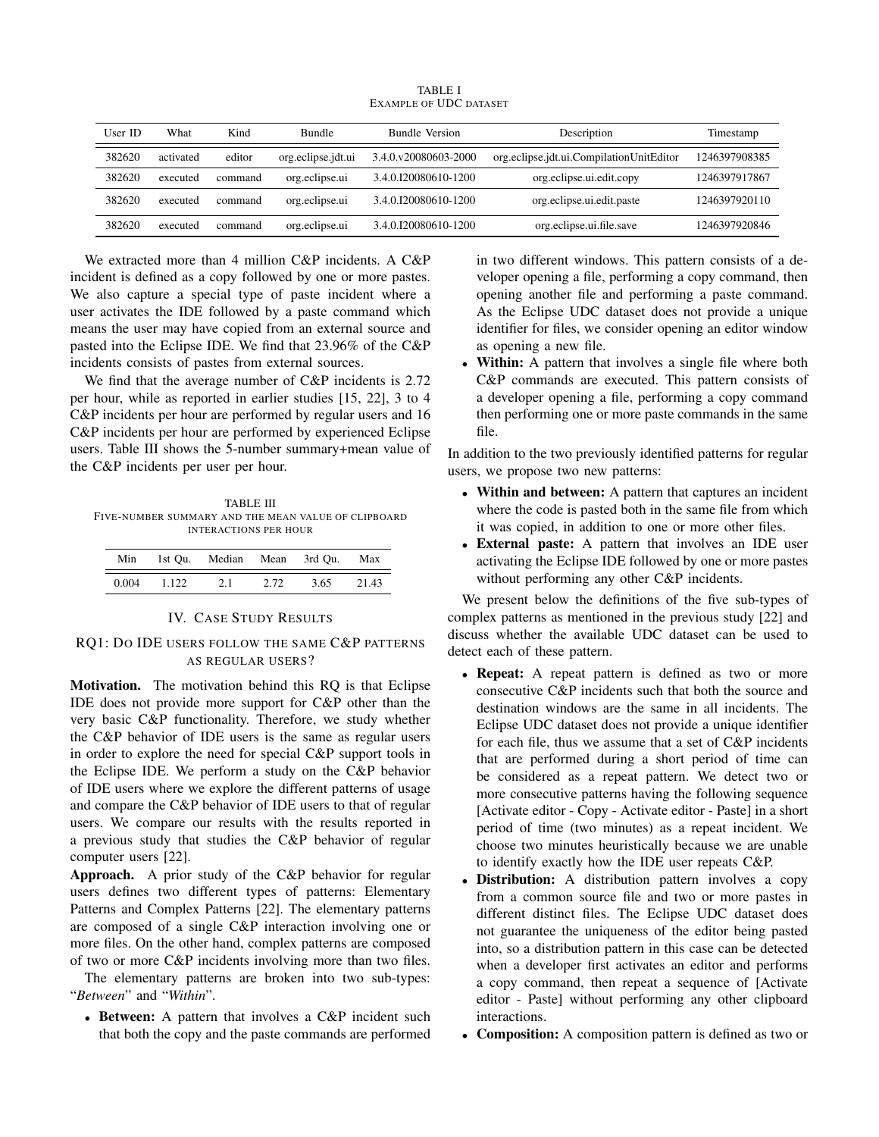| User ID | What      | Kind    | <b>Bundle</b>      | <b>Bundle Version</b> | Description                              | Timestamp     |
|---------|-----------|---------|--------------------|-----------------------|------------------------------------------|---------------|
| 382620  | activated | editor  | org.eclipse.jdt.ui | 3.4.0.y20080603-2000  | org.eclipse.jdt.ui.CompilationUnitEditor | 1246397908385 |
| 382620  | executed  | command | org.eclipse.ui     | 3.4.0.I20080610-1200  | org.eclipse.ui.edit.copy                 | 1246397917867 |
| 382620  | executed  | command | org.eclipse.ui     | 3.4.0.I20080610-1200  | org.eclipse.ui.edit.paste                | 1246397920110 |
| 382620  | executed  | command | org.eclipse.ui     | 3.4.0.I20080610-1200  | org.eclipse.ui.file.save                 | 1246397920846 |

TABLE I EXAMPLE OF UDC DATASET

We extracted more than 4 million C&P incidents. A C&P incident is defined as a copy followed by one or more pastes. We also capture a special type of paste incident where a user activates the IDE followed by a paste command which means the user may have copied from an external source and pasted into the Eclipse IDE. We find that 23.96% of the C&P incidents consists of pastes from external sources.

We find that the average number of C&P incidents is 2.72 per hour, while as reported in earlier studies [15, 22], 3 to 4 C&P incidents per hour are performed by regular users and 16 C&P incidents per hour are performed by experienced Eclipse users. Table III shows the 5-number summary+mean value of the C&P incidents per user per hour.

TABLE III FIVE-NUMBER SUMMARY AND THE MEAN VALUE OF CLIPBOARD INTERACTIONS PER HOUR

| Min   |       | 1st Ou. Median Mean 3rd Ou. |      |      | Max   |
|-------|-------|-----------------------------|------|------|-------|
| 0.004 | 1.122 | 2.1                         | 2.72 | 3.65 | 21.43 |

## IV. CASE STUDY RESULTS

# RQ1: DO IDE USERS FOLLOW THE SAME C&P PATTERNS AS REGULAR USERS?

Motivation. The motivation behind this RQ is that Eclipse IDE does not provide more support for C&P other than the very basic C&P functionality. Therefore, we study whether the C&P behavior of IDE users is the same as regular users in order to explore the need for special C&P support tools in the Eclipse IDE. We perform a study on the C&P behavior of IDE users where we explore the different patterns of usage and compare the C&P behavior of IDE users to that of regular users. We compare our results with the results reported in a previous study that studies the C&P behavior of regular computer users [22].

Approach. A prior study of the C&P behavior for regular users defines two different types of patterns: Elementary Patterns and Complex Patterns [22]. The elementary patterns are composed of a single C&P interaction involving one or more files. On the other hand, complex patterns are composed of two or more C&P incidents involving more than two files.

The elementary patterns are broken into two sub-types: "*Between*" and "*Within*".

• Between: A pattern that involves a C&P incident such that both the copy and the paste commands are performed

in two different windows. This pattern consists of a developer opening a file, performing a copy command, then opening another file and performing a paste command. As the Eclipse UDC dataset does not provide a unique identifier for files, we consider opening an editor window as opening a new file.

• Within: A pattern that involves a single file where both C&P commands are executed. This pattern consists of a developer opening a file, performing a copy command then performing one or more paste commands in the same file.

In addition to the two previously identified patterns for regular users, we propose two new patterns:

- Within and between: A pattern that captures an incident where the code is pasted both in the same file from which it was copied, in addition to one or more other files.
- External paste: A pattern that involves an IDE user activating the Eclipse IDE followed by one or more pastes without performing any other C&P incidents.

We present below the definitions of the five sub-types of complex patterns as mentioned in the previous study [22] and discuss whether the available UDC dataset can be used to detect each of these pattern.

- Repeat: A repeat pattern is defined as two or more consecutive C&P incidents such that both the source and destination windows are the same in all incidents. The Eclipse UDC dataset does not provide a unique identifier for each file, thus we assume that a set of C&P incidents that are performed during a short period of time can be considered as a repeat pattern. We detect two or more consecutive patterns having the following sequence [Activate editor - Copy - Activate editor - Paste] in a short period of time (two minutes) as a repeat incident. We choose two minutes heuristically because we are unable to identify exactly how the IDE user repeats C&P.
- **Distribution:** A distribution pattern involves a copy from a common source file and two or more pastes in different distinct files. The Eclipse UDC dataset does not guarantee the uniqueness of the editor being pasted into, so a distribution pattern in this case can be detected when a developer first activates an editor and performs a copy command, then repeat a sequence of [Activate editor - Paste] without performing any other clipboard interactions.
- Composition: A composition pattern is defined as two or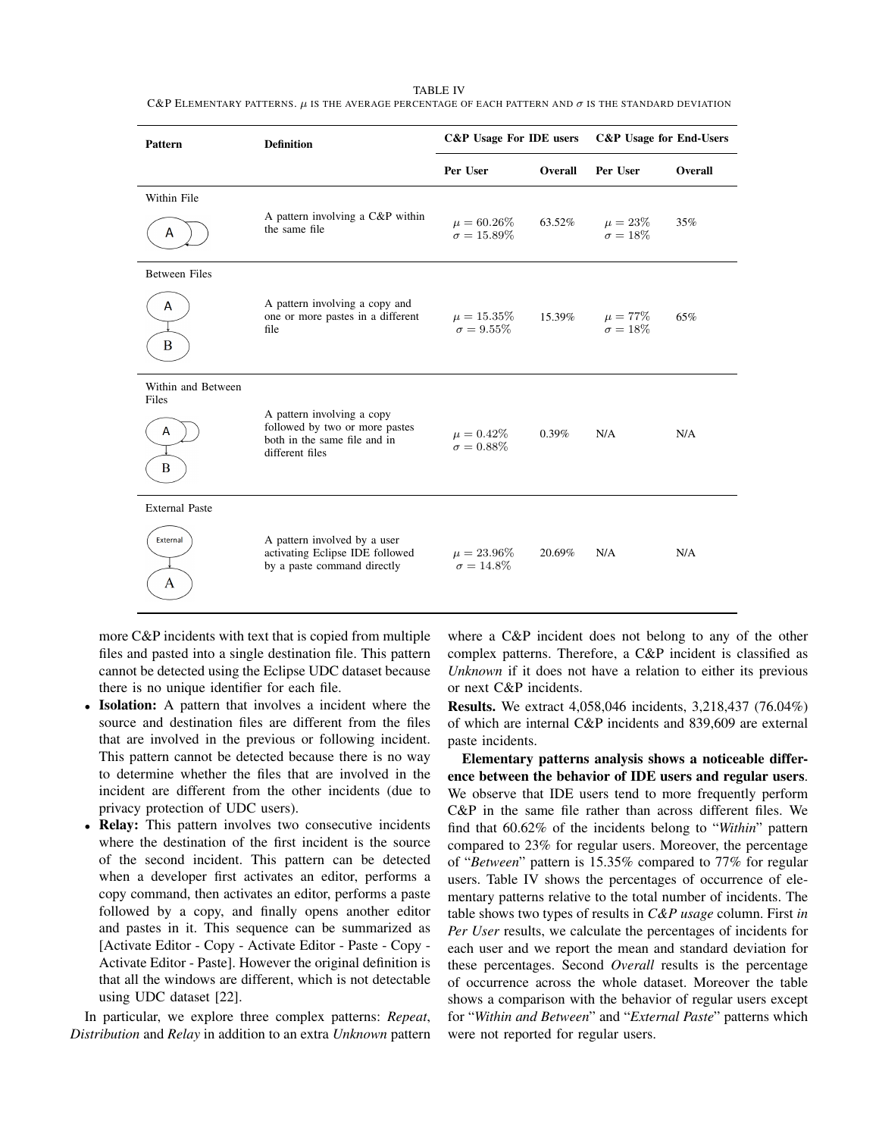#### TABLE IV

C&P ELEMENTARY PATTERNS.  $\mu$  is the average percentage of each pattern and  $\sigma$  is the standard deviation

| Pattern                                       | <b>Definition</b>                                                                                               | C&P Usage For IDE users               |                | <b>C&amp;P</b> Usage for End-Users |         |
|-----------------------------------------------|-----------------------------------------------------------------------------------------------------------------|---------------------------------------|----------------|------------------------------------|---------|
|                                               |                                                                                                                 | Per User                              | <b>Overall</b> | Per User                           | Overall |
| Within File<br>A                              | A pattern involving a C&P within<br>the same file                                                               | $\mu = 60.26\%$<br>$\sigma = 15.89\%$ | 63.52%         | $\mu=23\%$<br>$\sigma = 18\%$      | 35%     |
| <b>Between Files</b><br>A<br>B                | A pattern involving a copy and<br>one or more pastes in a different<br>file                                     | $\mu = 15.35\%$<br>$\sigma = 9.55\%$  | 15.39%         | $\mu = 77\%$<br>$\sigma = 18\%$    | 65%     |
| Within and Between<br>Files<br>A<br>B         | A pattern involving a copy<br>followed by two or more pastes<br>both in the same file and in<br>different files | $\mu = 0.42\%$<br>$\sigma=0.88\%$     | 0.39%          | N/A                                | N/A     |
| <b>External Paste</b><br><b>External</b><br>A | A pattern involved by a user<br>activating Eclipse IDE followed<br>by a paste command directly                  | $\mu = 23.96\%$<br>$\sigma = 14.8\%$  | 20.69%         | N/A                                | N/A     |

more C&P incidents with text that is copied from multiple files and pasted into a single destination file. This pattern cannot be detected using the Eclipse UDC dataset because there is no unique identifier for each file.

- Isolation: A pattern that involves a incident where the source and destination files are different from the files that are involved in the previous or following incident. This pattern cannot be detected because there is no way to determine whether the files that are involved in the incident are different from the other incidents (due to privacy protection of UDC users).
- Relay: This pattern involves two consecutive incidents where the destination of the first incident is the source of the second incident. This pattern can be detected when a developer first activates an editor, performs a copy command, then activates an editor, performs a paste followed by a copy, and finally opens another editor and pastes in it. This sequence can be summarized as [Activate Editor - Copy - Activate Editor - Paste - Copy - Activate Editor - Paste]. However the original definition is that all the windows are different, which is not detectable using UDC dataset [22].

In particular, we explore three complex patterns: *Repeat*, *Distribution* and *Relay* in addition to an extra *Unknown* pattern

where a C&P incident does not belong to any of the other complex patterns. Therefore, a C&P incident is classified as *Unknown* if it does not have a relation to either its previous or next C&P incidents.

Results. We extract 4,058,046 incidents, 3,218,437 (76.04%) of which are internal C&P incidents and 839,609 are external paste incidents.

Elementary patterns analysis shows a noticeable difference between the behavior of IDE users and regular users. We observe that IDE users tend to more frequently perform C&P in the same file rather than across different files. We find that 60.62% of the incidents belong to "*Within*" pattern compared to 23% for regular users. Moreover, the percentage of "*Between*" pattern is 15.35% compared to 77% for regular users. Table IV shows the percentages of occurrence of elementary patterns relative to the total number of incidents. The table shows two types of results in *C&P usage* column. First *in Per User* results, we calculate the percentages of incidents for each user and we report the mean and standard deviation for these percentages. Second *Overall* results is the percentage of occurrence across the whole dataset. Moreover the table shows a comparison with the behavior of regular users except for "*Within and Between*" and "*External Paste*" patterns which were not reported for regular users.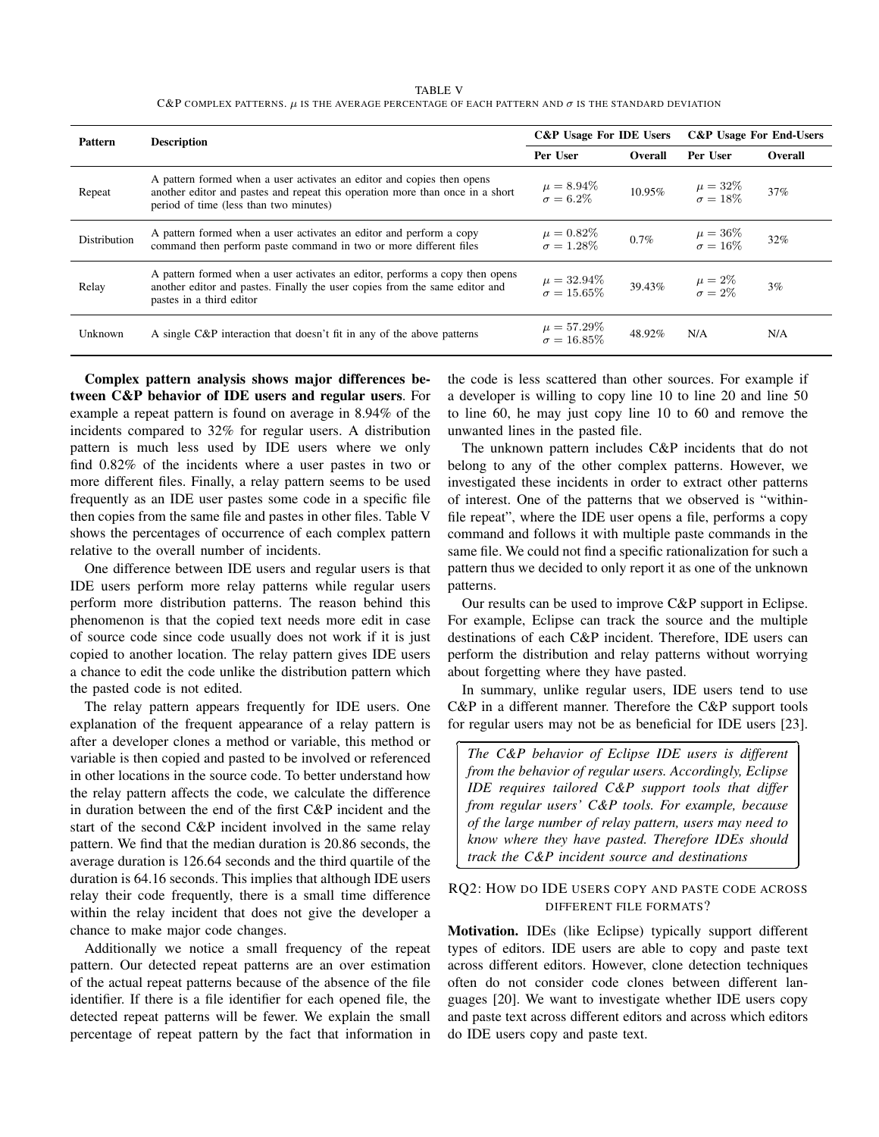TABLE V C&P COMPLEX PATTERNS.  $\mu$  is the average percentage of each pattern and  $\sigma$  is the standard deviation

| <b>Pattern</b>      | <b>Description</b>                                                                                                                                                                                | C&P Usage For IDE Users               |         | <b>C&amp;P</b> Usage For End-Users |         |  |
|---------------------|---------------------------------------------------------------------------------------------------------------------------------------------------------------------------------------------------|---------------------------------------|---------|------------------------------------|---------|--|
|                     |                                                                                                                                                                                                   | Per User                              | Overall | Per User                           | Overall |  |
| Repeat              | A pattern formed when a user activates an editor and copies then opens<br>another editor and pastes and repeat this operation more than once in a short<br>period of time (less than two minutes) | $\mu = 8.94\%$<br>$\sigma = 6.2\%$    | 10.95%  | $\mu = 32\%$<br>$\sigma = 18\%$    | 37%     |  |
| <b>Distribution</b> | A pattern formed when a user activates an editor and perform a copy<br>command then perform paste command in two or more different files                                                          | $\mu = 0.82\%$<br>$\sigma = 1.28\%$   | 0.7%    | $\mu = 36\%$<br>$\sigma = 16\%$    | 32%     |  |
| Relay               | A pattern formed when a user activates an editor, performs a copy then opens<br>another editor and pastes. Finally the user copies from the same editor and<br>pastes in a third editor           | $\mu = 32.94\%$<br>$\sigma = 15.65\%$ | 39.43%  | $\mu = 2\%$<br>$\sigma = 2\%$      | $3\%$   |  |
| Unknown             | A single C&P interaction that doesn't fit in any of the above patterns                                                                                                                            | $\mu = 57.29\%$<br>$\sigma = 16.85\%$ | 48.92%  | N/A                                | N/A     |  |

✄

✂

Complex pattern analysis shows major differences between C&P behavior of IDE users and regular users. For example a repeat pattern is found on average in 8.94% of the incidents compared to 32% for regular users. A distribution pattern is much less used by IDE users where we only find 0.82% of the incidents where a user pastes in two or more different files. Finally, a relay pattern seems to be used frequently as an IDE user pastes some code in a specific file then copies from the same file and pastes in other files. Table V shows the percentages of occurrence of each complex pattern relative to the overall number of incidents.

One difference between IDE users and regular users is that IDE users perform more relay patterns while regular users perform more distribution patterns. The reason behind this phenomenon is that the copied text needs more edit in case of source code since code usually does not work if it is just copied to another location. The relay pattern gives IDE users a chance to edit the code unlike the distribution pattern which the pasted code is not edited.

The relay pattern appears frequently for IDE users. One explanation of the frequent appearance of a relay pattern is after a developer clones a method or variable, this method or variable is then copied and pasted to be involved or referenced in other locations in the source code. To better understand how the relay pattern affects the code, we calculate the difference in duration between the end of the first C&P incident and the start of the second C&P incident involved in the same relay pattern. We find that the median duration is 20.86 seconds, the average duration is 126.64 seconds and the third quartile of the duration is 64.16 seconds. This implies that although IDE users relay their code frequently, there is a small time difference within the relay incident that does not give the developer a chance to make major code changes.

Additionally we notice a small frequency of the repeat pattern. Our detected repeat patterns are an over estimation of the actual repeat patterns because of the absence of the file identifier. If there is a file identifier for each opened file, the detected repeat patterns will be fewer. We explain the small percentage of repeat pattern by the fact that information in the code is less scattered than other sources. For example if a developer is willing to copy line 10 to line 20 and line 50 to line 60, he may just copy line 10 to 60 and remove the unwanted lines in the pasted file.

The unknown pattern includes C&P incidents that do not belong to any of the other complex patterns. However, we investigated these incidents in order to extract other patterns of interest. One of the patterns that we observed is "withinfile repeat", where the IDE user opens a file, performs a copy command and follows it with multiple paste commands in the same file. We could not find a specific rationalization for such a pattern thus we decided to only report it as one of the unknown patterns.

Our results can be used to improve C&P support in Eclipse. For example, Eclipse can track the source and the multiple destinations of each C&P incident. Therefore, IDE users can perform the distribution and relay patterns without worrying about forgetting where they have pasted.

In summary, unlike regular users, IDE users tend to use C&P in a different manner. Therefore the C&P support tools for regular users may not be as beneficial for IDE users [23].

Ĭ.

Į.

*The C&P behavior of Eclipse IDE users is different from the behavior of regular users. Accordingly, Eclipse IDE requires tailored C&P support tools that differ from regular users' C&P tools. For example, because of the large number of relay pattern, users may need to know where they have pasted. Therefore IDEs should track the C&P incident source and destinations*

# RQ2: HOW DO IDE USERS COPY AND PASTE CODE ACROSS DIFFERENT FILE FORMATS?

Motivation. IDEs (like Eclipse) typically support different types of editors. IDE users are able to copy and paste text across different editors. However, clone detection techniques often do not consider code clones between different languages [20]. We want to investigate whether IDE users copy and paste text across different editors and across which editors do IDE users copy and paste text.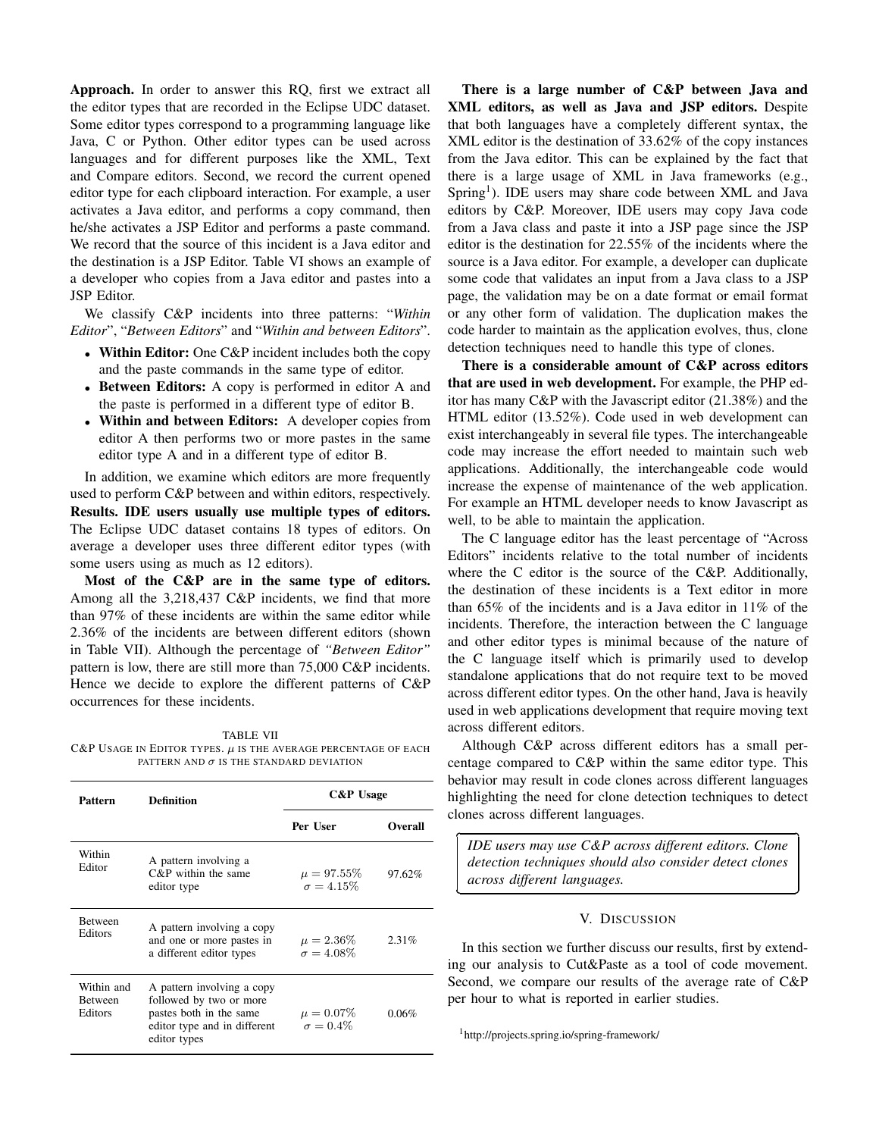Approach. In order to answer this RQ, first we extract all the editor types that are recorded in the Eclipse UDC dataset. Some editor types correspond to a programming language like Java, C or Python. Other editor types can be used across languages and for different purposes like the XML, Text and Compare editors. Second, we record the current opened editor type for each clipboard interaction. For example, a user activates a Java editor, and performs a copy command, then he/she activates a JSP Editor and performs a paste command. We record that the source of this incident is a Java editor and the destination is a JSP Editor. Table VI shows an example of a developer who copies from a Java editor and pastes into a JSP Editor.

We classify C&P incidents into three patterns: "*Within Editor*", "*Between Editors*" and "*Within and between Editors*".

- Within Editor: One C&P incident includes both the copy and the paste commands in the same type of editor.
- Between Editors: A copy is performed in editor A and the paste is performed in a different type of editor B.
- Within and between Editors: A developer copies from editor A then performs two or more pastes in the same editor type A and in a different type of editor B.

In addition, we examine which editors are more frequently used to perform C&P between and within editors, respectively. Results. IDE users usually use multiple types of editors. The Eclipse UDC dataset contains 18 types of editors. On average a developer uses three different editor types (with some users using as much as 12 editors).

Most of the C&P are in the same type of editors. Among all the 3,218,437 C&P incidents, we find that more than 97% of these incidents are within the same editor while 2.36% of the incidents are between different editors (shown in Table VII). Although the percentage of *"Between Editor"* pattern is low, there are still more than 75,000 C&P incidents. Hence we decide to explore the different patterns of C&P occurrences for these incidents.

TABLE VII C&P USAGE IN EDITOR TYPES.  $\mu$  is the average percentage of each PATTERN AND  $\sigma$  IS THE STANDARD DEVIATION

| Pattern                                 | Definition                                                                                                                       |                                      | <b>C&amp;P</b> Usage |  |  |
|-----------------------------------------|----------------------------------------------------------------------------------------------------------------------------------|--------------------------------------|----------------------|--|--|
|                                         |                                                                                                                                  | Per User                             | <b>Overall</b>       |  |  |
| Within<br>Editor                        | A pattern involving a<br>$C\&P$ within the same<br>editor type                                                                   | $\mu = 97.55\%$<br>$\sigma = 4.15\%$ | 97.62%               |  |  |
| <b>Between</b><br>Editors               | A pattern involving a copy<br>and one or more pastes in<br>a different editor types                                              | $\mu = 2.36\%$<br>$\sigma = 4.08\%$  | 2.31%                |  |  |
| Within and<br><b>Between</b><br>Editors | A pattern involving a copy<br>followed by two or more<br>pastes both in the same<br>editor type and in different<br>editor types | $\mu = 0.07\%$<br>$\sigma = 0.4\%$   | 0.06%                |  |  |

There is a large number of C&P between Java and XML editors, as well as Java and JSP editors. Despite that both languages have a completely different syntax, the XML editor is the destination of 33.62% of the copy instances from the Java editor. This can be explained by the fact that there is a large usage of XML in Java frameworks (e.g., Spring<sup>1</sup>). IDE users may share code between XML and Java editors by C&P. Moreover, IDE users may copy Java code from a Java class and paste it into a JSP page since the JSP editor is the destination for 22.55% of the incidents where the source is a Java editor. For example, a developer can duplicate some code that validates an input from a Java class to a JSP page, the validation may be on a date format or email format or any other form of validation. The duplication makes the code harder to maintain as the application evolves, thus, clone detection techniques need to handle this type of clones.

There is a considerable amount of C&P across editors that are used in web development. For example, the PHP editor has many C&P with the Javascript editor (21.38%) and the HTML editor (13.52%). Code used in web development can exist interchangeably in several file types. The interchangeable code may increase the effort needed to maintain such web applications. Additionally, the interchangeable code would increase the expense of maintenance of the web application. For example an HTML developer needs to know Javascript as well, to be able to maintain the application.

The C language editor has the least percentage of "Across Editors" incidents relative to the total number of incidents where the C editor is the source of the C&P. Additionally, the destination of these incidents is a Text editor in more than 65% of the incidents and is a Java editor in 11% of the incidents. Therefore, the interaction between the C language and other editor types is minimal because of the nature of the C language itself which is primarily used to develop standalone applications that do not require text to be moved across different editor types. On the other hand, Java is heavily used in web applications development that require moving text across different editors.

Although C&P across different editors has a small percentage compared to C&P within the same editor type. This behavior may result in code clones across different languages highlighting the need for clone detection techniques to detect clones across different languages.

*IDE users may use C&P across different editors. Clone detection techniques should also consider detect clones across different languages.*

Ĭ.

✁

### V. DISCUSSION

In this section we further discuss our results, first by extending our analysis to Cut&Paste as a tool of code movement. Second, we compare our results of the average rate of C&P per hour to what is reported in earlier studies.

<sup>1</sup>http://projects.spring.io/spring-framework/

✄

 $\overline{a}$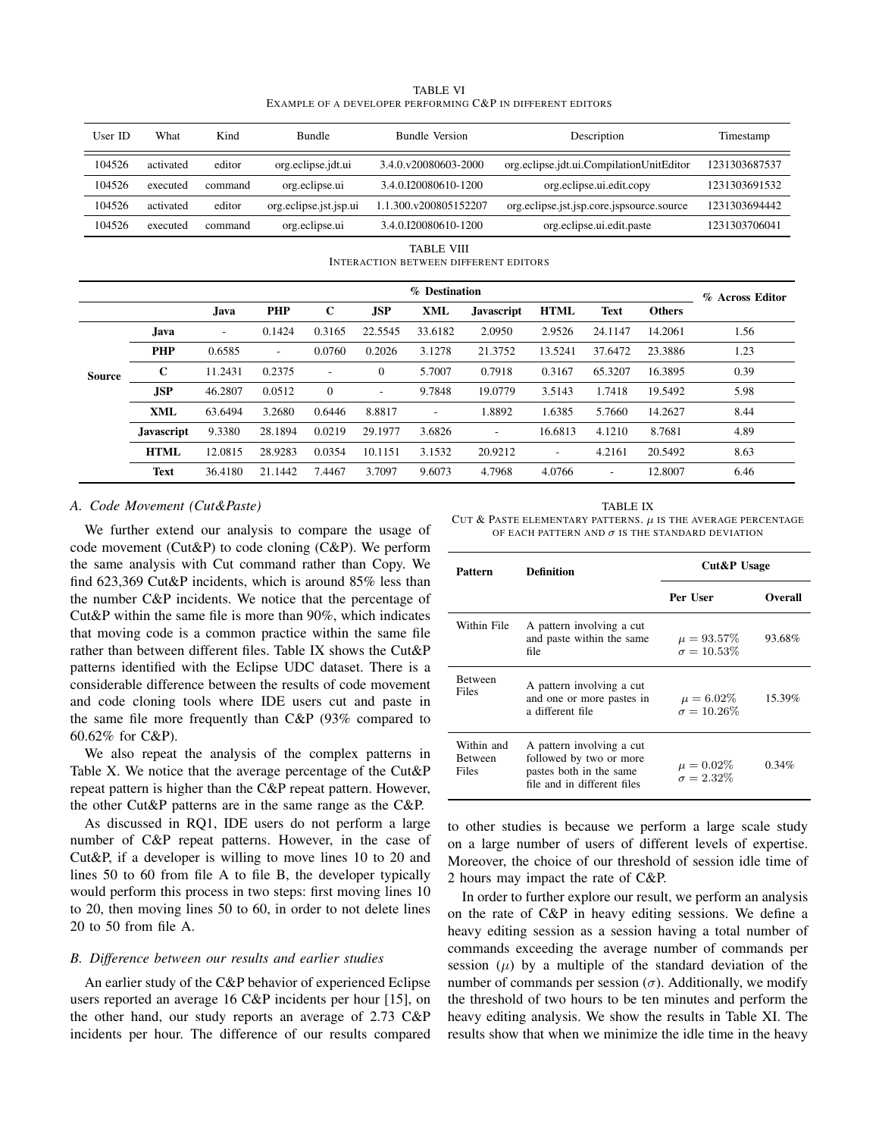| User ID       | What                                                              | Kind    |                          | <b>Bundle Version</b><br><b>Bundle</b> |            |                       | Description       |                                           | Timestamp                 |               |               |
|---------------|-------------------------------------------------------------------|---------|--------------------------|----------------------------------------|------------|-----------------------|-------------------|-------------------------------------------|---------------------------|---------------|---------------|
| 104526        | activated                                                         | editor  |                          | org.eclipse.jdt.ui                     |            | 3.4.0.y20080603-2000  |                   | org.eclipse.jdt.ui.CompilationUnitEditor  |                           |               | 1231303687537 |
| 104526        | executed                                                          | command |                          | org.eclipse.ui                         |            | 3.4.0.I20080610-1200  |                   |                                           | org.eclipse.ui.edit.copy  |               | 1231303691532 |
| 104526        | activated                                                         | editor  |                          | org.eclipse.jst.jsp.ui                 |            | 1.1.300.v200805152207 |                   | org.eclipse.jst.jsp.core.jspsource.source |                           |               | 1231303694442 |
| 104526        | executed                                                          | command |                          | org.eclipse.ui                         |            | 3.4.0.I20080610-1200  |                   |                                           | org.eclipse.ui.edit.paste |               | 1231303706041 |
|               | <b>TABLE VIII</b><br><b>INTERACTION BETWEEN DIFFERENT EDITORS</b> |         |                          |                                        |            |                       |                   |                                           |                           |               |               |
|               |                                                                   |         | % Destination            |                                        |            |                       |                   | % Across Editor                           |                           |               |               |
|               |                                                                   | Java    | PHP                      | $\mathbf C$                            | <b>JSP</b> | <b>XML</b>            | <b>Javascript</b> | <b>HTML</b>                               | <b>Text</b>               | <b>Others</b> |               |
|               | Java.                                                             |         | 0.1424                   | 0.3165                                 | 22.5545    | 33.6182               | 2.0950            | 2.9526                                    | 24.1147                   | 14.2061       | 1.56          |
|               | PHP                                                               | 0.6585  | $\overline{\phantom{a}}$ | 0.0760                                 | 0.2026     | 3.1278                | 21.3752           | 13.5241                                   | 37.6472                   | 23.3886       | 1.23          |
| <b>Source</b> | $\mathbf C$                                                       | 11.2431 | 0.2375                   | $\overline{\phantom{a}}$               | $\theta$   | 5.7007                | 0.7918            | 0.3167                                    | 65.3207                   | 16.3895       | 0.39          |
|               | <b>JSP</b>                                                        | 46.2807 | 0.0512                   | $\mathbf{0}$                           |            | 9.7848                | 19.0779           | 3.5143                                    | 1.7418                    | 19.5492       | 5.98          |
|               | XML                                                               | 63.6494 | 3.2680                   | 0.6446                                 | 8.8817     |                       | 1.8892            | 1.6385                                    | 5.7660                    | 14.2627       | 8.44          |
|               | <b>Javascript</b>                                                 | 9.3380  | 28.1894                  | 0.0219                                 | 29.1977    | 3.6826                |                   | 16.6813                                   | 4.1210                    | 8.7681        | 4.89          |
|               | <b>HTML</b>                                                       | 12.0815 | 28.9283                  | 0.0354                                 | 10.1151    | 3.1532                | 20.9212           | $\overline{\phantom{a}}$                  | 4.2161                    | 20.5492       | 8.63          |
|               | <b>Text</b>                                                       | 36.4180 | 21.1442                  | 7.4467                                 | 3.7097     | 9.6073                | 4.7968            | 4.0766                                    | $\sim$                    | 12.8007       | 6.46          |

TABLE VI EXAMPLE OF A DEVELOPER PERFORMING C&P IN DIFFERENT EDITORS

## *A. Code Movement (Cut&Paste)*

We further extend our analysis to compare the usage of code movement (Cut&P) to code cloning (C&P). We perform the same analysis with Cut command rather than Copy. We find 623,369 Cut&P incidents, which is around 85% less than the number C&P incidents. We notice that the percentage of Cut&P within the same file is more than 90%, which indicates that moving code is a common practice within the same file rather than between different files. Table IX shows the Cut&P patterns identified with the Eclipse UDC dataset. There is a considerable difference between the results of code movement and code cloning tools where IDE users cut and paste in the same file more frequently than C&P (93% compared to 60.62% for C&P).

We also repeat the analysis of the complex patterns in Table X. We notice that the average percentage of the Cut&P repeat pattern is higher than the C&P repeat pattern. However, the other Cut&P patterns are in the same range as the C&P.

As discussed in RQ1, IDE users do not perform a large number of C&P repeat patterns. However, in the case of Cut&P, if a developer is willing to move lines 10 to 20 and lines 50 to 60 from file A to file B, the developer typically would perform this process in two steps: first moving lines 10 to 20, then moving lines 50 to 60, in order to not delete lines 20 to 50 from file A.

# *B. Difference between our results and earlier studies*

An earlier study of the C&P behavior of experienced Eclipse users reported an average 16 C&P incidents per hour [15], on the other hand, our study reports an average of 2.73 C&P incidents per hour. The difference of our results compared

| <b>TABLE IX</b>                                                  |
|------------------------------------------------------------------|
| CUT & PASTE ELEMENTARY PATTERNS. $\mu$ is the average percentage |
| OF EACH PATTERN AND $\sigma$ is the standard deviation           |

| Pattern                               | <b>Definition</b>                                                                                              | Cut&P Usage                           |                |  |
|---------------------------------------|----------------------------------------------------------------------------------------------------------------|---------------------------------------|----------------|--|
|                                       |                                                                                                                | Per User                              | <b>Overall</b> |  |
| Within File                           | A pattern involving a cut<br>and paste within the same<br>file                                                 | $\mu = 93.57\%$<br>$\sigma = 10.53\%$ | 93.68%         |  |
| <b>Between</b><br>Files               | A pattern involving a cut<br>and one or more pastes in<br>a different file                                     | $\mu = 6.02\%$<br>$\sigma = 10.26\%$  | 15.39%         |  |
| Within and<br><b>Between</b><br>Files | A pattern involving a cut<br>followed by two or more<br>pastes both in the same<br>file and in different files | $\mu=0.02\%$<br>$\sigma = 2.32\%$     | 0.34%          |  |

to other studies is because we perform a large scale study on a large number of users of different levels of expertise. Moreover, the choice of our threshold of session idle time of 2 hours may impact the rate of C&P.

In order to further explore our result, we perform an analysis on the rate of C&P in heavy editing sessions. We define a heavy editing session as a session having a total number of commands exceeding the average number of commands per session  $(\mu)$  by a multiple of the standard deviation of the number of commands per session  $(\sigma)$ . Additionally, we modify the threshold of two hours to be ten minutes and perform the heavy editing analysis. We show the results in Table XI. The results show that when we minimize the idle time in the heavy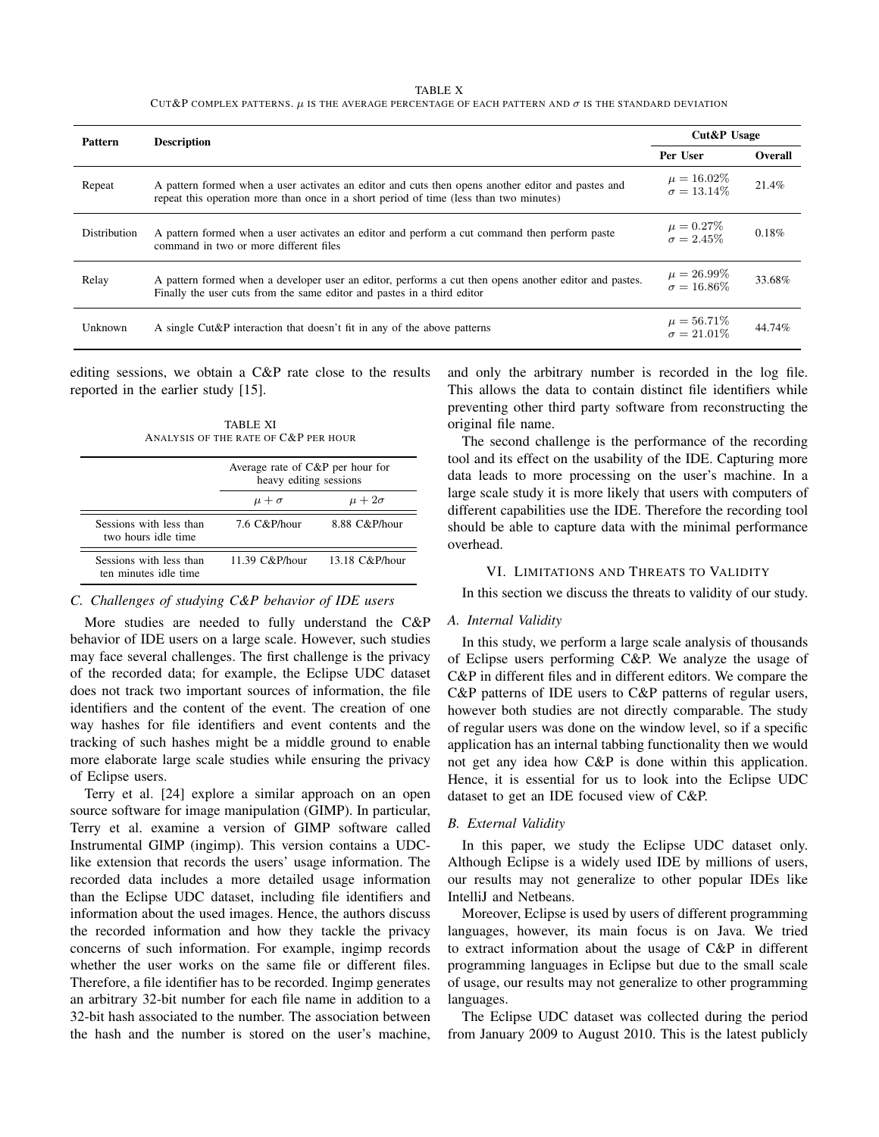TABLE X

CUT&P COMPLEX PATTERNS. µ IS THE AVERAGE PERCENTAGE OF EACH PATTERN AND σ IS THE STANDARD DEVIATION

| Pattern      | <b>Description</b>                                                                                                                                                                           | Cut&P Usage                           |         |  |
|--------------|----------------------------------------------------------------------------------------------------------------------------------------------------------------------------------------------|---------------------------------------|---------|--|
|              |                                                                                                                                                                                              | Per User                              | Overall |  |
| Repeat       | A pattern formed when a user activates an editor and cuts then opens another editor and pastes and<br>repeat this operation more than once in a short period of time (less than two minutes) | $\mu = 16.02\%$<br>$\sigma = 13.14\%$ | 21.4%   |  |
| Distribution | A pattern formed when a user activates an editor and perform a cut command then perform paste<br>command in two or more different files                                                      | $\mu = 0.27\%$<br>$\sigma = 2.45\%$   | 0.18%   |  |
| Relay        | A pattern formed when a developer user an editor, performs a cut then opens another editor and pastes.<br>Finally the user cuts from the same editor and pastes in a third editor            | $\mu = 26.99\%$<br>$\sigma = 16.86\%$ | 33.68%  |  |
| Unknown      | A single Cut&P interaction that doesn't fit in any of the above patterns                                                                                                                     | $\mu = 56.71\%$<br>$\sigma = 21.01\%$ | 44.74%  |  |

editing sessions, we obtain a C&P rate close to the results reported in the earlier study [15].

TABLE XI ANALYSIS OF THE RATE OF C&P PER HOUR

|                                                  | Average rate of C&P per hour for<br>heavy editing sessions |                 |  |
|--------------------------------------------------|------------------------------------------------------------|-----------------|--|
|                                                  | $\mu + \sigma$                                             | $\mu + 2\sigma$ |  |
| Sessions with less than<br>two hours idle time   | 7.6 C&P/hour                                               | 8.88 C&P/hour   |  |
| Sessions with less than<br>ten minutes idle time | 11.39 C&P/hour                                             | 13.18 C&P/hour  |  |

# *C. Challenges of studying C&P behavior of IDE users*

More studies are needed to fully understand the C&P behavior of IDE users on a large scale. However, such studies may face several challenges. The first challenge is the privacy of the recorded data; for example, the Eclipse UDC dataset does not track two important sources of information, the file identifiers and the content of the event. The creation of one way hashes for file identifiers and event contents and the tracking of such hashes might be a middle ground to enable more elaborate large scale studies while ensuring the privacy of Eclipse users.

Terry et al. [24] explore a similar approach on an open source software for image manipulation (GIMP). In particular, Terry et al. examine a version of GIMP software called Instrumental GIMP (ingimp). This version contains a UDClike extension that records the users' usage information. The recorded data includes a more detailed usage information than the Eclipse UDC dataset, including file identifiers and information about the used images. Hence, the authors discuss the recorded information and how they tackle the privacy concerns of such information. For example, ingimp records whether the user works on the same file or different files. Therefore, a file identifier has to be recorded. Ingimp generates an arbitrary 32-bit number for each file name in addition to a 32-bit hash associated to the number. The association between the hash and the number is stored on the user's machine, and only the arbitrary number is recorded in the log file. This allows the data to contain distinct file identifiers while preventing other third party software from reconstructing the original file name.

The second challenge is the performance of the recording tool and its effect on the usability of the IDE. Capturing more data leads to more processing on the user's machine. In a large scale study it is more likely that users with computers of different capabilities use the IDE. Therefore the recording tool should be able to capture data with the minimal performance overhead.

## VI. LIMITATIONS AND THREATS TO VALIDITY

In this section we discuss the threats to validity of our study.

## *A. Internal Validity*

In this study, we perform a large scale analysis of thousands of Eclipse users performing C&P. We analyze the usage of C&P in different files and in different editors. We compare the C&P patterns of IDE users to C&P patterns of regular users, however both studies are not directly comparable. The study of regular users was done on the window level, so if a specific application has an internal tabbing functionality then we would not get any idea how C&P is done within this application. Hence, it is essential for us to look into the Eclipse UDC dataset to get an IDE focused view of C&P.

# *B. External Validity*

In this paper, we study the Eclipse UDC dataset only. Although Eclipse is a widely used IDE by millions of users, our results may not generalize to other popular IDEs like IntelliJ and Netbeans.

Moreover, Eclipse is used by users of different programming languages, however, its main focus is on Java. We tried to extract information about the usage of C&P in different programming languages in Eclipse but due to the small scale of usage, our results may not generalize to other programming languages.

The Eclipse UDC dataset was collected during the period from January 2009 to August 2010. This is the latest publicly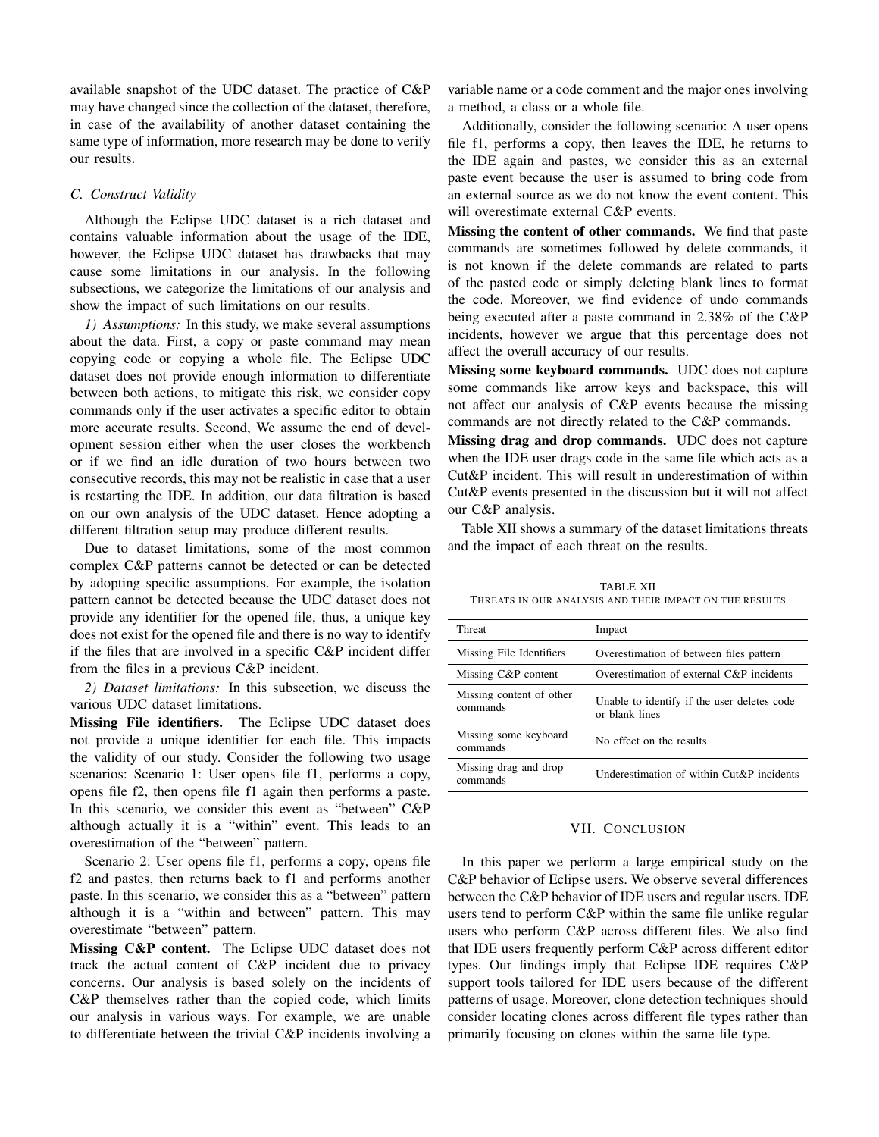available snapshot of the UDC dataset. The practice of C&P may have changed since the collection of the dataset, therefore, in case of the availability of another dataset containing the same type of information, more research may be done to verify our results.

## *C. Construct Validity*

Although the Eclipse UDC dataset is a rich dataset and contains valuable information about the usage of the IDE, however, the Eclipse UDC dataset has drawbacks that may cause some limitations in our analysis. In the following subsections, we categorize the limitations of our analysis and show the impact of such limitations on our results.

*1) Assumptions:* In this study, we make several assumptions about the data. First, a copy or paste command may mean copying code or copying a whole file. The Eclipse UDC dataset does not provide enough information to differentiate between both actions, to mitigate this risk, we consider copy commands only if the user activates a specific editor to obtain more accurate results. Second, We assume the end of development session either when the user closes the workbench or if we find an idle duration of two hours between two consecutive records, this may not be realistic in case that a user is restarting the IDE. In addition, our data filtration is based on our own analysis of the UDC dataset. Hence adopting a different filtration setup may produce different results.

Due to dataset limitations, some of the most common complex C&P patterns cannot be detected or can be detected by adopting specific assumptions. For example, the isolation pattern cannot be detected because the UDC dataset does not provide any identifier for the opened file, thus, a unique key does not exist for the opened file and there is no way to identify if the files that are involved in a specific C&P incident differ from the files in a previous C&P incident.

*2) Dataset limitations:* In this subsection, we discuss the various UDC dataset limitations.

Missing File identifiers. The Eclipse UDC dataset does not provide a unique identifier for each file. This impacts the validity of our study. Consider the following two usage scenarios: Scenario 1: User opens file f1, performs a copy, opens file f2, then opens file f1 again then performs a paste. In this scenario, we consider this event as "between" C&P although actually it is a "within" event. This leads to an overestimation of the "between" pattern.

Scenario 2: User opens file f1, performs a copy, opens file f2 and pastes, then returns back to f1 and performs another paste. In this scenario, we consider this as a "between" pattern although it is a "within and between" pattern. This may overestimate "between" pattern.

Missing C&P content. The Eclipse UDC dataset does not track the actual content of C&P incident due to privacy concerns. Our analysis is based solely on the incidents of C&P themselves rather than the copied code, which limits our analysis in various ways. For example, we are unable to differentiate between the trivial C&P incidents involving a

variable name or a code comment and the major ones involving a method, a class or a whole file.

Additionally, consider the following scenario: A user opens file f1, performs a copy, then leaves the IDE, he returns to the IDE again and pastes, we consider this as an external paste event because the user is assumed to bring code from an external source as we do not know the event content. This will overestimate external C&P events.

Missing the content of other commands. We find that paste commands are sometimes followed by delete commands, it is not known if the delete commands are related to parts of the pasted code or simply deleting blank lines to format the code. Moreover, we find evidence of undo commands being executed after a paste command in 2.38% of the C&P incidents, however we argue that this percentage does not affect the overall accuracy of our results.

Missing some keyboard commands. UDC does not capture some commands like arrow keys and backspace, this will not affect our analysis of C&P events because the missing commands are not directly related to the C&P commands.

Missing drag and drop commands. UDC does not capture when the IDE user drags code in the same file which acts as a Cut&P incident. This will result in underestimation of within Cut&P events presented in the discussion but it will not affect our C&P analysis.

Table XII shows a summary of the dataset limitations threats and the impact of each threat on the results.

TABLE XII THREATS IN OUR ANALYSIS AND THEIR IMPACT ON THE RESULTS

| Threat                               | Impact                                                        |
|--------------------------------------|---------------------------------------------------------------|
| Missing File Identifiers             | Overestimation of between files pattern                       |
| Missing C&P content                  | Overestimation of external C&P incidents                      |
| Missing content of other<br>commands | Unable to identify if the user deletes code<br>or blank lines |
| Missing some keyboard<br>commands    | No effect on the results                                      |
| Missing drag and drop<br>commands    | Underestimation of within Cut&P incidents                     |

## VII. CONCLUSION

In this paper we perform a large empirical study on the C&P behavior of Eclipse users. We observe several differences between the C&P behavior of IDE users and regular users. IDE users tend to perform C&P within the same file unlike regular users who perform C&P across different files. We also find that IDE users frequently perform C&P across different editor types. Our findings imply that Eclipse IDE requires C&P support tools tailored for IDE users because of the different patterns of usage. Moreover, clone detection techniques should consider locating clones across different file types rather than primarily focusing on clones within the same file type.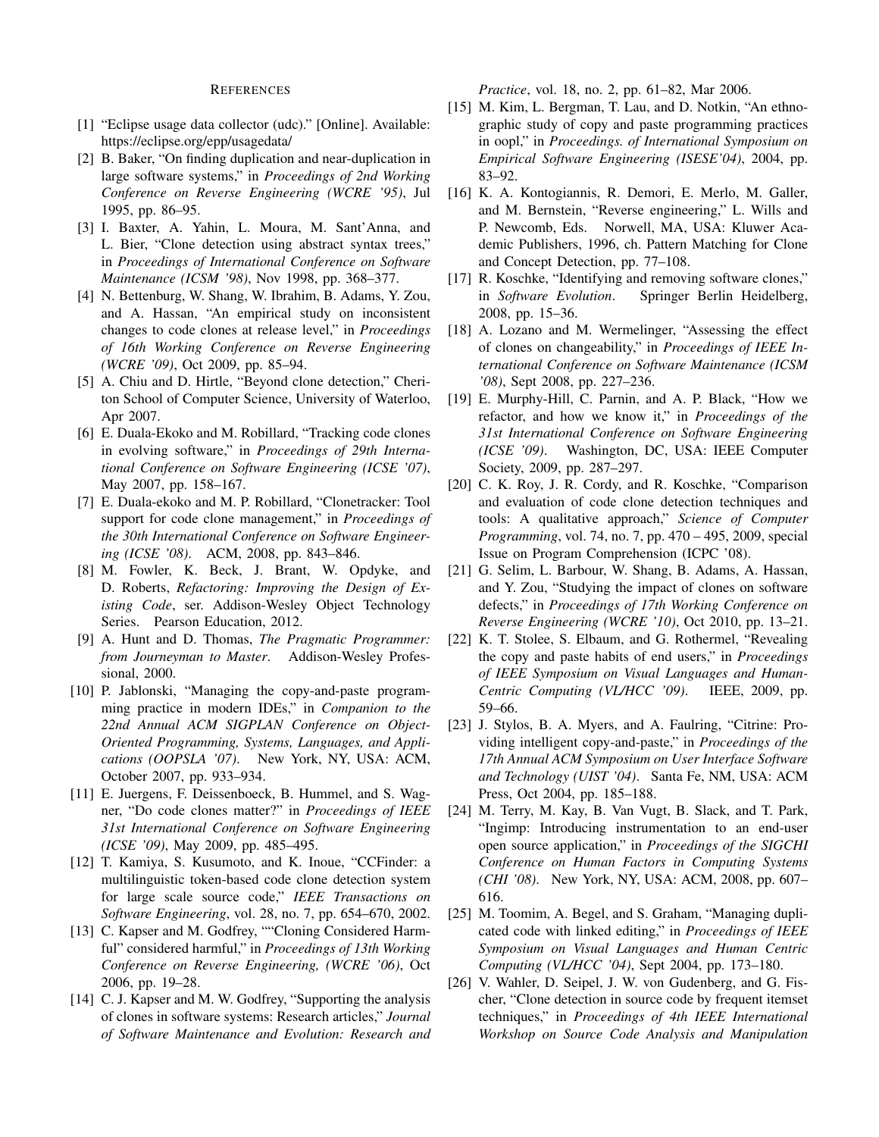## REFERENCES

- [1] "Eclipse usage data collector (udc)." [Online]. Available: https://eclipse.org/epp/usagedata/
- [2] B. Baker, "On finding duplication and near-duplication in large software systems," in *Proceedings of 2nd Working Conference on Reverse Engineering (WCRE '95)*, Jul 1995, pp. 86–95.
- [3] I. Baxter, A. Yahin, L. Moura, M. Sant'Anna, and L. Bier, "Clone detection using abstract syntax trees," in *Proceedings of International Conference on Software Maintenance (ICSM '98)*, Nov 1998, pp. 368–377.
- [4] N. Bettenburg, W. Shang, W. Ibrahim, B. Adams, Y. Zou, and A. Hassan, "An empirical study on inconsistent changes to code clones at release level," in *Proceedings of 16th Working Conference on Reverse Engineering (WCRE '09)*, Oct 2009, pp. 85–94.
- [5] A. Chiu and D. Hirtle, "Beyond clone detection," Cheriton School of Computer Science, University of Waterloo, Apr 2007.
- [6] E. Duala-Ekoko and M. Robillard, "Tracking code clones in evolving software," in *Proceedings of 29th International Conference on Software Engineering (ICSE '07)*, May 2007, pp. 158–167.
- [7] E. Duala-ekoko and M. P. Robillard, "Clonetracker: Tool support for code clone management," in *Proceedings of the 30th International Conference on Software Engineering (ICSE '08)*. ACM, 2008, pp. 843–846.
- [8] M. Fowler, K. Beck, J. Brant, W. Opdyke, and D. Roberts, *Refactoring: Improving the Design of Existing Code*, ser. Addison-Wesley Object Technology Series. Pearson Education, 2012.
- [9] A. Hunt and D. Thomas, *The Pragmatic Programmer: from Journeyman to Master*. Addison-Wesley Professional, 2000.
- [10] P. Jablonski, "Managing the copy-and-paste programming practice in modern IDEs," in *Companion to the 22nd Annual ACM SIGPLAN Conference on Object-Oriented Programming, Systems, Languages, and Applications (OOPSLA '07)*. New York, NY, USA: ACM, October 2007, pp. 933–934.
- [11] E. Juergens, F. Deissenboeck, B. Hummel, and S. Wagner, "Do code clones matter?" in *Proceedings of IEEE 31st International Conference on Software Engineering (ICSE '09)*, May 2009, pp. 485–495.
- [12] T. Kamiya, S. Kusumoto, and K. Inoue, "CCFinder: a multilinguistic token-based code clone detection system for large scale source code," *IEEE Transactions on Software Engineering*, vol. 28, no. 7, pp. 654–670, 2002.
- [13] C. Kapser and M. Godfrey, ""Cloning Considered Harmful" considered harmful," in *Proceedings of 13th Working Conference on Reverse Engineering, (WCRE '06)*, Oct 2006, pp. 19–28.
- [14] C. J. Kapser and M. W. Godfrey, "Supporting the analysis of clones in software systems: Research articles," *Journal of Software Maintenance and Evolution: Research and*

*Practice*, vol. 18, no. 2, pp. 61–82, Mar 2006.

- [15] M. Kim, L. Bergman, T. Lau, and D. Notkin, "An ethnographic study of copy and paste programming practices in oopl," in *Proceedings. of International Symposium on Empirical Software Engineering (ISESE'04)*, 2004, pp. 83–92.
- [16] K. A. Kontogiannis, R. Demori, E. Merlo, M. Galler, and M. Bernstein, "Reverse engineering," L. Wills and P. Newcomb, Eds. Norwell, MA, USA: Kluwer Academic Publishers, 1996, ch. Pattern Matching for Clone and Concept Detection, pp. 77–108.
- [17] R. Koschke, "Identifying and removing software clones," in *Software Evolution*. Springer Berlin Heidelberg, 2008, pp. 15–36.
- [18] A. Lozano and M. Wermelinger, "Assessing the effect of clones on changeability," in *Proceedings of IEEE International Conference on Software Maintenance (ICSM '08)*, Sept 2008, pp. 227–236.
- [19] E. Murphy-Hill, C. Parnin, and A. P. Black, "How we refactor, and how we know it," in *Proceedings of the 31st International Conference on Software Engineering (ICSE '09)*. Washington, DC, USA: IEEE Computer Society, 2009, pp. 287–297.
- [20] C. K. Roy, J. R. Cordy, and R. Koschke, "Comparison and evaluation of code clone detection techniques and tools: A qualitative approach," *Science of Computer Programming*, vol. 74, no. 7, pp. 470 – 495, 2009, special Issue on Program Comprehension (ICPC '08).
- [21] G. Selim, L. Barbour, W. Shang, B. Adams, A. Hassan, and Y. Zou, "Studying the impact of clones on software defects," in *Proceedings of 17th Working Conference on Reverse Engineering (WCRE '10)*, Oct 2010, pp. 13–21.
- [22] K. T. Stolee, S. Elbaum, and G. Rothermel, "Revealing the copy and paste habits of end users," in *Proceedings of IEEE Symposium on Visual Languages and Human-Centric Computing (VL/HCC '09)*. IEEE, 2009, pp. 59–66.
- [23] J. Stylos, B. A. Myers, and A. Faulring, "Citrine: Providing intelligent copy-and-paste," in *Proceedings of the 17th Annual ACM Symposium on User Interface Software and Technology (UIST '04)*. Santa Fe, NM, USA: ACM Press, Oct 2004, pp. 185–188.
- [24] M. Terry, M. Kay, B. Van Vugt, B. Slack, and T. Park, "Ingimp: Introducing instrumentation to an end-user open source application," in *Proceedings of the SIGCHI Conference on Human Factors in Computing Systems (CHI '08)*. New York, NY, USA: ACM, 2008, pp. 607– 616.
- [25] M. Toomim, A. Begel, and S. Graham, "Managing duplicated code with linked editing," in *Proceedings of IEEE Symposium on Visual Languages and Human Centric Computing (VL/HCC '04)*, Sept 2004, pp. 173–180.
- [26] V. Wahler, D. Seipel, J. W. von Gudenberg, and G. Fischer, "Clone detection in source code by frequent itemset techniques," in *Proceedings of 4th IEEE International Workshop on Source Code Analysis and Manipulation*